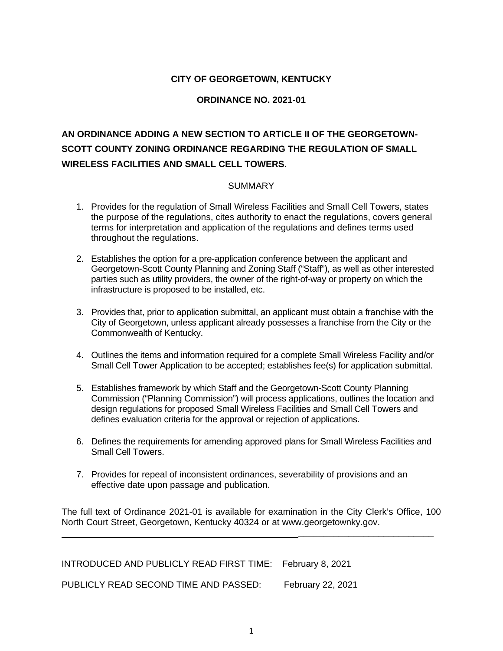#### **CITY OF GEORGETOWN, KENTUCKY**

#### **ORDINANCE NO. 2021-01**

# **AN ORDINANCE ADDING A NEW SECTION TO ARTICLE II OF THE GEORGETOWN-SCOTT COUNTY ZONING ORDINANCE REGARDING THE REGULATION OF SMALL WIRELESS FACILITIES AND SMALL CELL TOWERS.**

#### SUMMARY

- 1. Provides for the regulation of Small Wireless Facilities and Small Cell Towers, states the purpose of the regulations, cites authority to enact the regulations, covers general terms for interpretation and application of the regulations and defines terms used throughout the regulations.
- 2. Establishes the option for a pre-application conference between the applicant and Georgetown-Scott County Planning and Zoning Staff ("Staff"), as well as other interested parties such as utility providers, the owner of the right-of-way or property on which the infrastructure is proposed to be installed, etc.
- 3. Provides that, prior to application submittal, an applicant must obtain a franchise with the City of Georgetown, unless applicant already possesses a franchise from the City or the Commonwealth of Kentucky.
- 4. Outlines the items and information required for a complete Small Wireless Facility and/or Small Cell Tower Application to be accepted; establishes fee(s) for application submittal.
- 5. Establishes framework by which Staff and the Georgetown-Scott County Planning Commission ("Planning Commission") will process applications, outlines the location and design regulations for proposed Small Wireless Facilities and Small Cell Towers and defines evaluation criteria for the approval or rejection of applications.
- 6. Defines the requirements for amending approved plans for Small Wireless Facilities and Small Cell Towers.
- 7. Provides for repeal of inconsistent ordinances, severability of provisions and an effective date upon passage and publication.

The full text of Ordinance 2021-01 is available for examination in the City Clerk's Office, 100 North Court Street, Georgetown, Kentucky 40324 or at www.georgetownky.gov.

**\_\_\_\_\_\_\_\_\_\_\_\_\_\_\_\_\_\_\_\_\_\_\_\_\_\_\_**

INTRODUCED AND PUBLICLY READ FIRST TIME: February 8, 2021 PUBLICLY READ SECOND TIME AND PASSED: February 22, 2021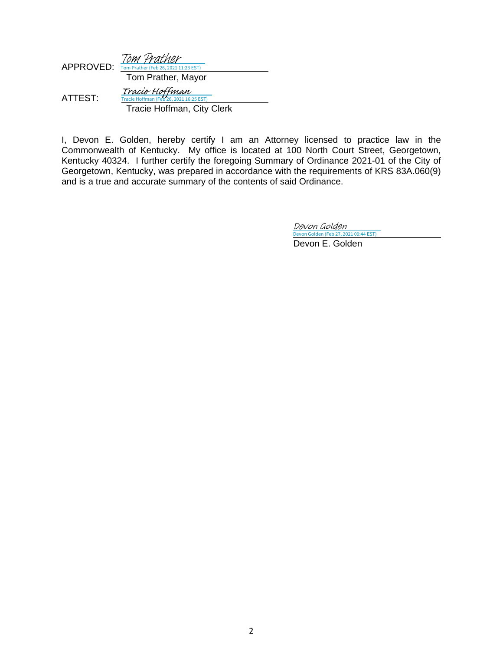| APPROVED: | Tom Prather<br>Tom Prather (Feb 26, 2021 11:23 EST)                                     |
|-----------|-----------------------------------------------------------------------------------------|
|           | Tom Prather, Mayor                                                                      |
| ATTEST:   | Tracie Hoffman<br>Tracie Hoffman (Feb 26, 2021 16:25 EST)<br>Tracie Hoffman, City Clerk |

I, Devon E. Golden, hereby certify I am an Attorney licensed to practice law in the Commonwealth of Kentucky. My office is located at 100 North Court Street, Georgetown, Kentucky 40324. I further certify the foregoing Summary of Ordinance 2021-01 of the City of Georgetown, Kentucky, was prepared in accordance with the requirements of KRS 83A.060(9) and is a true and accurate summary of the contents of said Ordinance.

Devon Golden

 Devon E. Golden [Devon Golden \(Feb 27, 2021 09:44 EST\)](https://adobefreeuserschannel.na1.documents.adobe.com/verifier?tx=CBJCHBCAABAAC7b_92mv5PNnRo8cw2QrGA1SaQk6ctyR)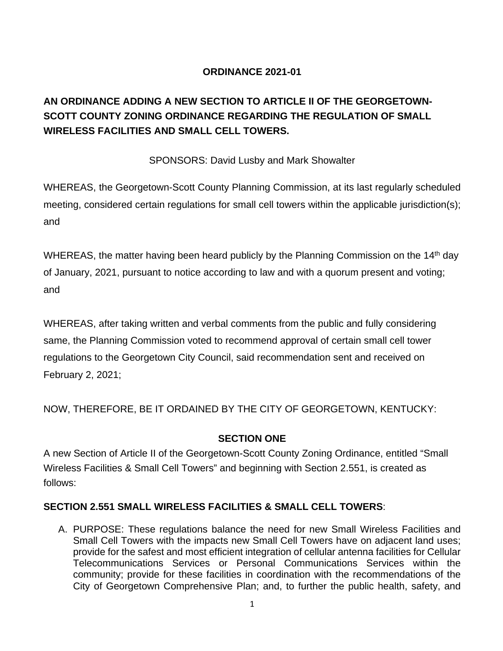## **ORDINANCE 2021-01**

# **AN ORDINANCE ADDING A NEW SECTION TO ARTICLE II OF THE GEORGETOWN-SCOTT COUNTY ZONING ORDINANCE REGARDING THE REGULATION OF SMALL WIRELESS FACILITIES AND SMALL CELL TOWERS.**

#### SPONSORS: David Lusby and Mark Showalter

WHEREAS, the Georgetown-Scott County Planning Commission, at its last regularly scheduled meeting, considered certain regulations for small cell towers within the applicable jurisdiction(s); and

WHEREAS, the matter having been heard publicly by the Planning Commission on the 14<sup>th</sup> day of January, 2021, pursuant to notice according to law and with a quorum present and voting; and

WHEREAS, after taking written and verbal comments from the public and fully considering same, the Planning Commission voted to recommend approval of certain small cell tower regulations to the Georgetown City Council, said recommendation sent and received on February 2, 2021;

NOW, THEREFORE, BE IT ORDAINED BY THE CITY OF GEORGETOWN, KENTUCKY:

## **SECTION ONE**

A new Section of Article II of the Georgetown-Scott County Zoning Ordinance, entitled "Small Wireless Facilities & Small Cell Towers" and beginning with Section 2.551, is created as follows:

## **SECTION 2.551 SMALL WIRELESS FACILITIES & SMALL CELL TOWERS**:

A. PURPOSE: These regulations balance the need for new Small Wireless Facilities and Small Cell Towers with the impacts new Small Cell Towers have on adjacent land uses; provide for the safest and most efficient integration of cellular antenna facilities for Cellular Telecommunications Services or Personal Communications Services within the community; provide for these facilities in coordination with the recommendations of the City of Georgetown Comprehensive Plan; and, to further the public health, safety, and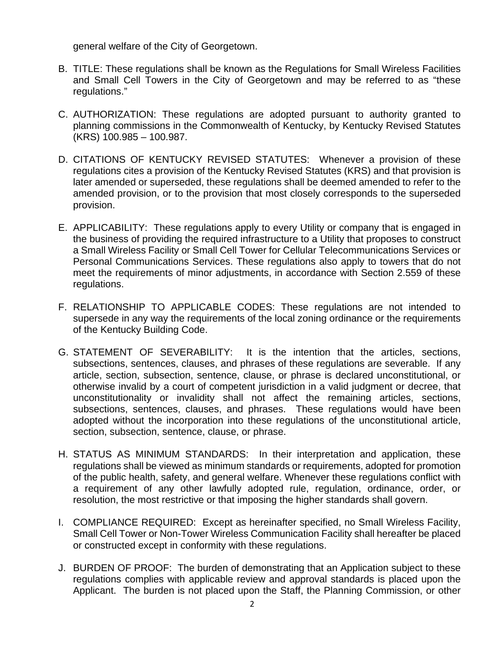general welfare of the City of Georgetown.

- B. TITLE: These regulations shall be known as the Regulations for Small Wireless Facilities and Small Cell Towers in the City of Georgetown and may be referred to as "these regulations."
- C. AUTHORIZATION: These regulations are adopted pursuant to authority granted to planning commissions in the Commonwealth of Kentucky, by Kentucky Revised Statutes (KRS) 100.985 – 100.987.
- D. CITATIONS OF KENTUCKY REVISED STATUTES:Whenever a provision of these regulations cites a provision of the Kentucky Revised Statutes (KRS) and that provision is later amended or superseded, these regulations shall be deemed amended to refer to the amended provision, or to the provision that most closely corresponds to the superseded provision.
- E. APPLICABILITY: These regulations apply to every Utility or company that is engaged in the business of providing the required infrastructure to a Utility that proposes to construct a Small Wireless Facility or Small Cell Tower for Cellular Telecommunications Services or Personal Communications Services. These regulations also apply to towers that do not meet the requirements of minor adjustments, in accordance with Section 2.559 of these regulations.
- F. RELATIONSHIP TO APPLICABLE CODES: These regulations are not intended to supersede in any way the requirements of the local zoning ordinance or the requirements of the Kentucky Building Code.
- G. STATEMENT OF SEVERABILITY: It is the intention that the articles, sections, subsections, sentences, clauses, and phrases of these regulations are severable. If any article, section, subsection, sentence, clause, or phrase is declared unconstitutional, or otherwise invalid by a court of competent jurisdiction in a valid judgment or decree, that unconstitutionality or invalidity shall not affect the remaining articles, sections, subsections, sentences, clauses, and phrases. These regulations would have been adopted without the incorporation into these regulations of the unconstitutional article, section, subsection, sentence, clause, or phrase.
- H. STATUS AS MINIMUM STANDARDS: In their interpretation and application, these regulations shall be viewed as minimum standards or requirements, adopted for promotion of the public health, safety, and general welfare. Whenever these regulations conflict with a requirement of any other lawfully adopted rule, regulation, ordinance, order, or resolution, the most restrictive or that imposing the higher standards shall govern.
- I. COMPLIANCE REQUIRED: Except as hereinafter specified, no Small Wireless Facility, Small Cell Tower or Non-Tower Wireless Communication Facility shall hereafter be placed or constructed except in conformity with these regulations.
- J. BURDEN OF PROOF:The burden of demonstrating that an Application subject to these regulations complies with applicable review and approval standards is placed upon the Applicant. The burden is not placed upon the Staff, the Planning Commission, or other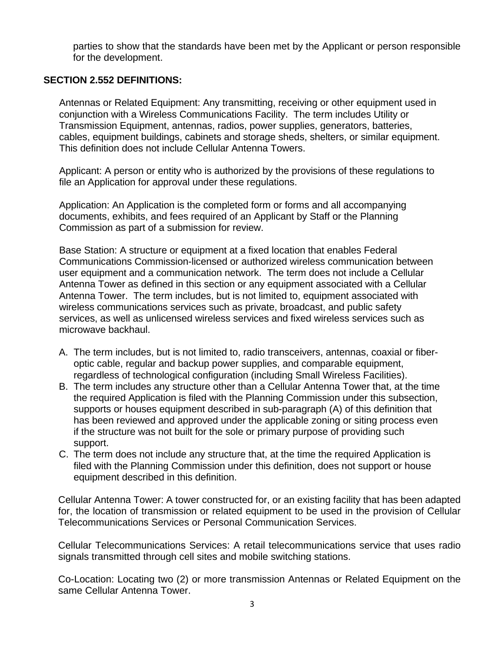parties to show that the standards have been met by the Applicant or person responsible for the development.

#### **SECTION 2.552 DEFINITIONS:**

Antennas or Related Equipment: Any transmitting, receiving or other equipment used in conjunction with a Wireless Communications Facility. The term includes Utility or Transmission Equipment, antennas, radios, power supplies, generators, batteries, cables, equipment buildings, cabinets and storage sheds, shelters, or similar equipment. This definition does not include Cellular Antenna Towers.

Applicant: A person or entity who is authorized by the provisions of these regulations to file an Application for approval under these regulations.

Application: An Application is the completed form or forms and all accompanying documents, exhibits, and fees required of an Applicant by Staff or the Planning Commission as part of a submission for review.

Base Station: A structure or equipment at a fixed location that enables Federal Communications Commission-licensed or authorized wireless communication between user equipment and a communication network. The term does not include a Cellular Antenna Tower as defined in this section or any equipment associated with a Cellular Antenna Tower. The term includes, but is not limited to, equipment associated with wireless communications services such as private, broadcast, and public safety services, as well as unlicensed wireless services and fixed wireless services such as microwave backhaul.

- A. The term includes, but is not limited to, radio transceivers, antennas, coaxial or fiberoptic cable, regular and backup power supplies, and comparable equipment, regardless of technological configuration (including Small Wireless Facilities).
- B. The term includes any structure other than a Cellular Antenna Tower that, at the time the required Application is filed with the Planning Commission under this subsection, supports or houses equipment described in sub-paragraph (A) of this definition that has been reviewed and approved under the applicable zoning or siting process even if the structure was not built for the sole or primary purpose of providing such support.
- C. The term does not include any structure that, at the time the required Application is filed with the Planning Commission under this definition, does not support or house equipment described in this definition.

Cellular Antenna Tower: A tower constructed for, or an existing facility that has been adapted for, the location of transmission or related equipment to be used in the provision of Cellular Telecommunications Services or Personal Communication Services.

Cellular Telecommunications Services: A retail telecommunications service that uses radio signals transmitted through cell sites and mobile switching stations.

Co-Location: Locating two (2) or more transmission Antennas or Related Equipment on the same Cellular Antenna Tower.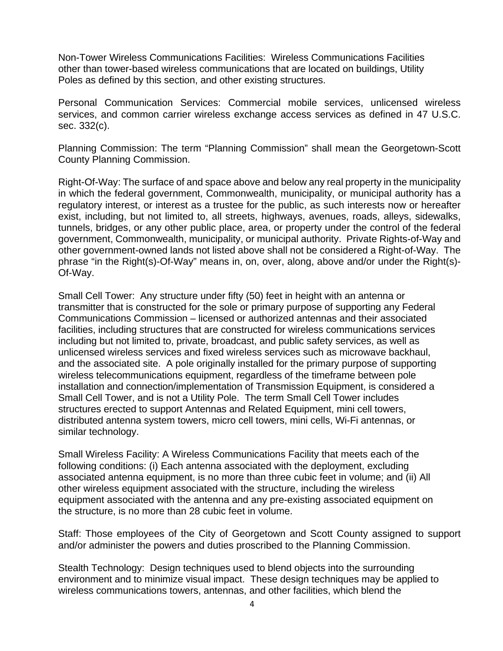Non-Tower Wireless Communications Facilities: Wireless Communications Facilities other than tower-based wireless communications that are located on buildings, Utility Poles as defined by this section, and other existing structures.

Personal Communication Services: Commercial mobile services, unlicensed wireless services, and common carrier wireless exchange access services as defined in 47 U.S.C. sec. 332(c).

Planning Commission: The term "Planning Commission" shall mean the Georgetown-Scott County Planning Commission.

Right-Of-Way: The surface of and space above and below any real property in the municipality in which the federal government, Commonwealth, municipality, or municipal authority has a regulatory interest, or interest as a trustee for the public, as such interests now or hereafter exist, including, but not limited to, all streets, highways, avenues, roads, alleys, sidewalks, tunnels, bridges, or any other public place, area, or property under the control of the federal government, Commonwealth, municipality, or municipal authority. Private Rights-of-Way and other government-owned lands not listed above shall not be considered a Right-of-Way. The phrase "in the Right(s)-Of-Way" means in, on, over, along, above and/or under the Right(s)- Of-Way.

Small Cell Tower: Any structure under fifty (50) feet in height with an antenna or transmitter that is constructed for the sole or primary purpose of supporting any Federal Communications Commission – licensed or authorized antennas and their associated facilities, including structures that are constructed for wireless communications services including but not limited to, private, broadcast, and public safety services, as well as unlicensed wireless services and fixed wireless services such as microwave backhaul, and the associated site. A pole originally installed for the primary purpose of supporting wireless telecommunications equipment, regardless of the timeframe between pole installation and connection/implementation of Transmission Equipment, is considered a Small Cell Tower, and is not a Utility Pole. The term Small Cell Tower includes structures erected to support Antennas and Related Equipment, mini cell towers, distributed antenna system towers, micro cell towers, mini cells, Wi-Fi antennas, or similar technology.

Small Wireless Facility: A Wireless Communications Facility that meets each of the following conditions: (i) Each antenna associated with the deployment, excluding associated antenna equipment, is no more than three cubic feet in volume; and (ii) All other wireless equipment associated with the structure, including the wireless equipment associated with the antenna and any pre-existing associated equipment on the structure, is no more than 28 cubic feet in volume.

Staff: Those employees of the City of Georgetown and Scott County assigned to support and/or administer the powers and duties proscribed to the Planning Commission.

Stealth Technology: Design techniques used to blend objects into the surrounding environment and to minimize visual impact. These design techniques may be applied to wireless communications towers, antennas, and other facilities, which blend the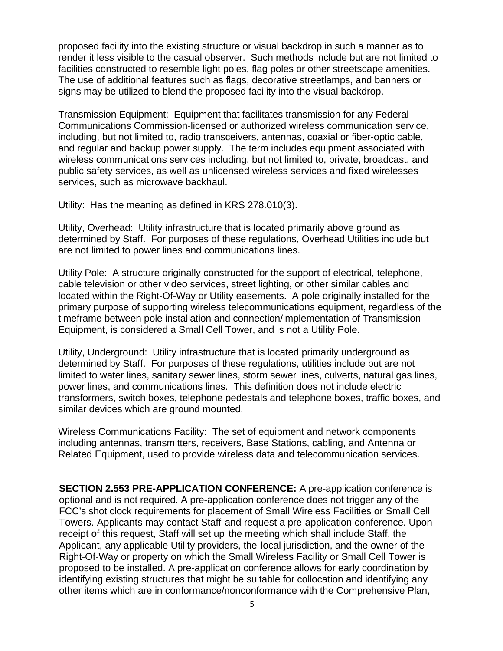proposed facility into the existing structure or visual backdrop in such a manner as to render it less visible to the casual observer. Such methods include but are not limited to facilities constructed to resemble light poles, flag poles or other streetscape amenities. The use of additional features such as flags, decorative streetlamps, and banners or signs may be utilized to blend the proposed facility into the visual backdrop.

Transmission Equipment: Equipment that facilitates transmission for any Federal Communications Commission-licensed or authorized wireless communication service, including, but not limited to, radio transceivers, antennas, coaxial or fiber-optic cable, and regular and backup power supply. The term includes equipment associated with wireless communications services including, but not limited to, private, broadcast, and public safety services, as well as unlicensed wireless services and fixed wirelesses services, such as microwave backhaul.

Utility: Has the meaning as defined in KRS 278.010(3).

Utility, Overhead: Utility infrastructure that is located primarily above ground as determined by Staff. For purposes of these regulations, Overhead Utilities include but are not limited to power lines and communications lines.

Utility Pole: A structure originally constructed for the support of electrical, telephone, cable television or other video services, street lighting, or other similar cables and located within the Right-Of-Way or Utility easements. A pole originally installed for the primary purpose of supporting wireless telecommunications equipment, regardless of the timeframe between pole installation and connection/implementation of Transmission Equipment, is considered a Small Cell Tower, and is not a Utility Pole.

Utility, Underground: Utility infrastructure that is located primarily underground as determined by Staff. For purposes of these regulations, utilities include but are not limited to water lines, sanitary sewer lines, storm sewer lines, culverts, natural gas lines, power lines, and communications lines. This definition does not include electric transformers, switch boxes, telephone pedestals and telephone boxes, traffic boxes, and similar devices which are ground mounted.

Wireless Communications Facility: The set of equipment and network components including antennas, transmitters, receivers, Base Stations, cabling, and Antenna or Related Equipment, used to provide wireless data and telecommunication services.

**SECTION 2.553 PRE-APPLICATION CONFERENCE:** A pre-application conference is optional and is not required. A pre-application conference does not trigger any of the FCC's shot clock requirements for placement of Small Wireless Facilities or Small Cell Towers. Applicants may contact Staff and request a pre-application conference. Upon receipt of this request, Staff will set up the meeting which shall include Staff, the Applicant, any applicable Utility providers, the local jurisdiction, and the owner of the Right-Of-Way or property on which the Small Wireless Facility or Small Cell Tower is proposed to be installed. A pre-application conference allows for early coordination by identifying existing structures that might be suitable for collocation and identifying any other items which are in conformance/nonconformance with the Comprehensive Plan,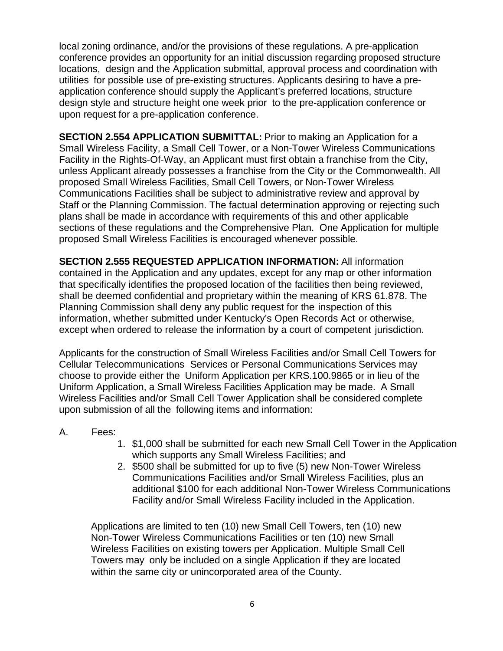local zoning ordinance, and/or the provisions of these regulations. A pre-application conference provides an opportunity for an initial discussion regarding proposed structure locations, design and the Application submittal, approval process and coordination with utilities for possible use of pre-existing structures. Applicants desiring to have a preapplication conference should supply the Applicant's preferred locations, structure design style and structure height one week prior to the pre-application conference or upon request for a pre-application conference.

**SECTION 2.554 APPLICATION SUBMITTAL:** Prior to making an Application for a Small Wireless Facility, a Small Cell Tower, or a Non-Tower Wireless Communications Facility in the Rights-Of-Way, an Applicant must first obtain a franchise from the City, unless Applicant already possesses a franchise from the City or the Commonwealth. All proposed Small Wireless Facilities, Small Cell Towers, or Non-Tower Wireless Communications Facilities shall be subject to administrative review and approval by Staff or the Planning Commission. The factual determination approving or rejecting such plans shall be made in accordance with requirements of this and other applicable sections of these regulations and the Comprehensive Plan. One Application for multiple proposed Small Wireless Facilities is encouraged whenever possible.

**SECTION 2.555 REQUESTED APPLICATION INFORMATION:** All information contained in the Application and any updates, except for any map or other information that specifically identifies the proposed location of the facilities then being reviewed, shall be deemed confidential and proprietary within the meaning of KRS 61.878. The Planning Commission shall deny any public request for the inspection of this information, whether submitted under Kentucky's Open Records Act or otherwise, except when ordered to release the information by a court of competent jurisdiction.

Applicants for the construction of Small Wireless Facilities and/or Small Cell Towers for Cellular Telecommunications Services or Personal Communications Services may choose to provide either the Uniform Application per KRS.100.9865 or in lieu of the Uniform Application, a Small Wireless Facilities Application may be made. A Small Wireless Facilities and/or Small Cell Tower Application shall be considered complete upon submission of all the following items and information:

#### A. Fees:

- 1. \$1,000 shall be submitted for each new Small Cell Tower in the Application which supports any Small Wireless Facilities; and
- 2. \$500 shall be submitted for up to five (5) new Non-Tower Wireless Communications Facilities and/or Small Wireless Facilities, plus an additional \$100 for each additional Non-Tower Wireless Communications Facility and/or Small Wireless Facility included in the Application.

Applications are limited to ten (10) new Small Cell Towers, ten (10) new Non-Tower Wireless Communications Facilities or ten (10) new Small Wireless Facilities on existing towers per Application. Multiple Small Cell Towers may only be included on a single Application if they are located within the same city or unincorporated area of the County.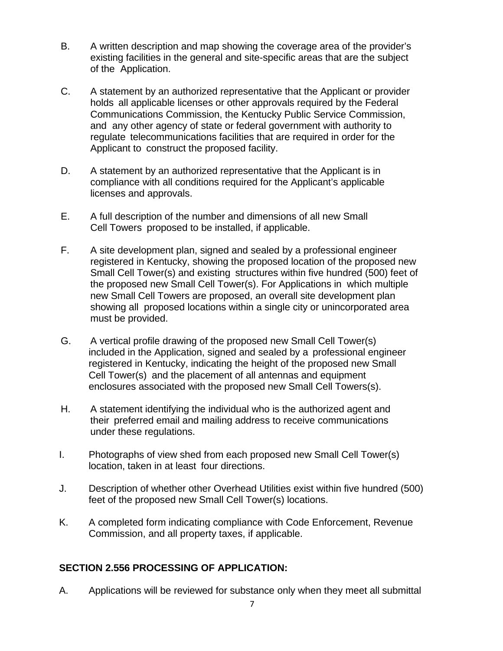- B. A written description and map showing the coverage area of the provider's existing facilities in the general and site-specific areas that are the subject of the Application.
- C. A statement by an authorized representative that the Applicant or provider holds all applicable licenses or other approvals required by the Federal Communications Commission, the Kentucky Public Service Commission, and any other agency of state or federal government with authority to regulate telecommunications facilities that are required in order for the Applicant to construct the proposed facility.
- D. A statement by an authorized representative that the Applicant is in compliance with all conditions required for the Applicant's applicable licenses and approvals.
- E. A full description of the number and dimensions of all new Small Cell Towers proposed to be installed, if applicable.
- F. A site development plan, signed and sealed by a professional engineer registered in Kentucky, showing the proposed location of the proposed new Small Cell Tower(s) and existing structures within five hundred (500) feet of the proposed new Small Cell Tower(s). For Applications in which multiple new Small Cell Towers are proposed, an overall site development plan showing all proposed locations within a single city or unincorporated area must be provided.
- G. A vertical profile drawing of the proposed new Small Cell Tower(s) included in the Application, signed and sealed by a professional engineer registered in Kentucky, indicating the height of the proposed new Small Cell Tower(s) and the placement of all antennas and equipment enclosures associated with the proposed new Small Cell Towers(s).
- H. A statement identifying the individual who is the authorized agent and their preferred email and mailing address to receive communications under these regulations.
- I. Photographs of view shed from each proposed new Small Cell Tower(s) location, taken in at least four directions.
- J. Description of whether other Overhead Utilities exist within five hundred (500) feet of the proposed new Small Cell Tower(s) locations.
- K. A completed form indicating compliance with Code Enforcement, Revenue Commission, and all property taxes, if applicable.

## **SECTION 2.556 PROCESSING OF APPLICATION:**

A. Applications will be reviewed for substance only when they meet all submittal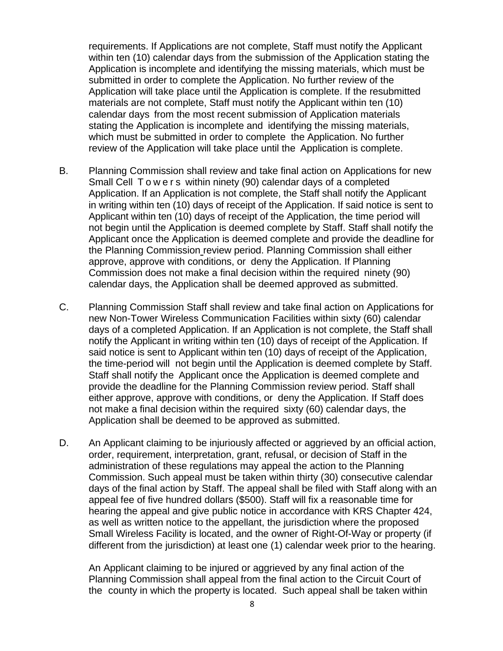requirements. If Applications are not complete, Staff must notify the Applicant within ten (10) calendar days from the submission of the Application stating the Application is incomplete and identifying the missing materials, which must be submitted in order to complete the Application. No further review of the Application will take place until the Application is complete. If the resubmitted materials are not complete, Staff must notify the Applicant within ten (10) calendar days from the most recent submission of Application materials stating the Application is incomplete and identifying the missing materials, which must be submitted in order to complete the Application. No further review of the Application will take place until the Application is complete.

- B. Planning Commission shall review and take final action on Applications for new Small Cell Towers within ninety (90) calendar days of a completed Application. If an Application is not complete, the Staff shall notify the Applicant in writing within ten (10) days of receipt of the Application. If said notice is sent to Applicant within ten (10) days of receipt of the Application, the time period will not begin until the Application is deemed complete by Staff. Staff shall notify the Applicant once the Application is deemed complete and provide the deadline for the Planning Commission review period. Planning Commission shall either approve, approve with conditions, or deny the Application. If Planning Commission does not make a final decision within the required ninety (90) calendar days, the Application shall be deemed approved as submitted.
- C. Planning Commission Staff shall review and take final action on Applications for new Non-Tower Wireless Communication Facilities within sixty (60) calendar days of a completed Application. If an Application is not complete, the Staff shall notify the Applicant in writing within ten (10) days of receipt of the Application. If said notice is sent to Applicant within ten (10) days of receipt of the Application, the time-period will not begin until the Application is deemed complete by Staff. Staff shall notify the Applicant once the Application is deemed complete and provide the deadline for the Planning Commission review period. Staff shall either approve, approve with conditions, or deny the Application. If Staff does not make a final decision within the required sixty (60) calendar days, the Application shall be deemed to be approved as submitted.
- D. An Applicant claiming to be injuriously affected or aggrieved by an official action, order, requirement, interpretation, grant, refusal, or decision of Staff in the administration of these regulations may appeal the action to the Planning Commission. Such appeal must be taken within thirty (30) consecutive calendar days of the final action by Staff. The appeal shall be filed with Staff along with an appeal fee of five hundred dollars (\$500). Staff will fix a reasonable time for hearing the appeal and give public notice in accordance with KRS Chapter 424, as well as written notice to the appellant, the jurisdiction where the proposed Small Wireless Facility is located, and the owner of Right-Of-Way or property (if different from the jurisdiction) at least one (1) calendar week prior to the hearing.

An Applicant claiming to be injured or aggrieved by any final action of the Planning Commission shall appeal from the final action to the Circuit Court of the county in which the property is located. Such appeal shall be taken within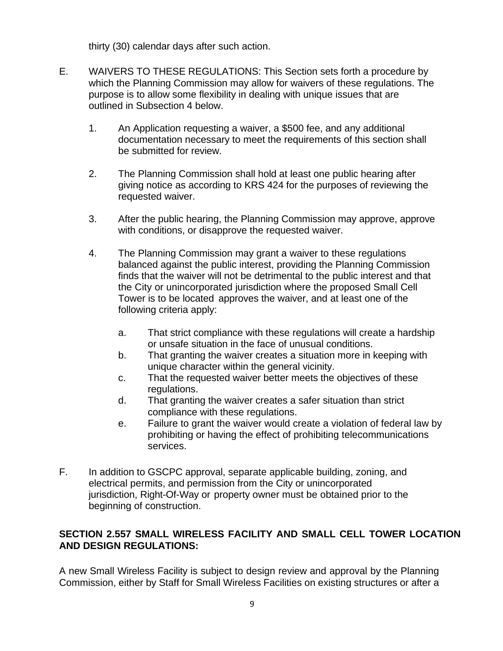thirty (30) calendar days after such action.

- E. WAIVERS TO THESE REGULATIONS: This Section sets forth a procedure by which the Planning Commission may allow for waivers of these regulations. The purpose is to allow some flexibility in dealing with unique issues that are outlined in Subsection 4 below.
	- 1. An Application requesting a waiver, a \$500 fee, and any additional documentation necessary to meet the requirements of this section shall be submitted for review.
	- 2. The Planning Commission shall hold at least one public hearing after giving notice as according to KRS 424 for the purposes of reviewing the requested waiver.
	- 3. After the public hearing, the Planning Commission may approve, approve with conditions, or disapprove the requested waiver.
	- 4. The Planning Commission may grant a waiver to these regulations balanced against the public interest, providing the Planning Commission finds that the waiver will not be detrimental to the public interest and that the City or unincorporated jurisdiction where the proposed Small Cell Tower is to be located approves the waiver, and at least one of the following criteria apply:
		- a. That strict compliance with these regulations will create a hardship or unsafe situation in the face of unusual conditions.
		- b. That granting the waiver creates a situation more in keeping with unique character within the general vicinity.
		- c. That the requested waiver better meets the objectives of these regulations.
		- d. That granting the waiver creates a safer situation than strict compliance with these regulations.
		- e. Failure to grant the waiver would create a violation of federal law by prohibiting or having the effect of prohibiting telecommunications services.
- F. In addition to GSCPC approval, separate applicable building, zoning, and electrical permits, and permission from the City or unincorporated jurisdiction, Right-Of-Way or property owner must be obtained prior to the beginning of construction.

## **SECTION 2.557 SMALL WIRELESS FACILITY AND SMALL CELL TOWER LOCATION AND DESIGN REGULATIONS:**

A new Small Wireless Facility is subject to design review and approval by the Planning Commission, either by Staff for Small Wireless Facilities on existing structures or after a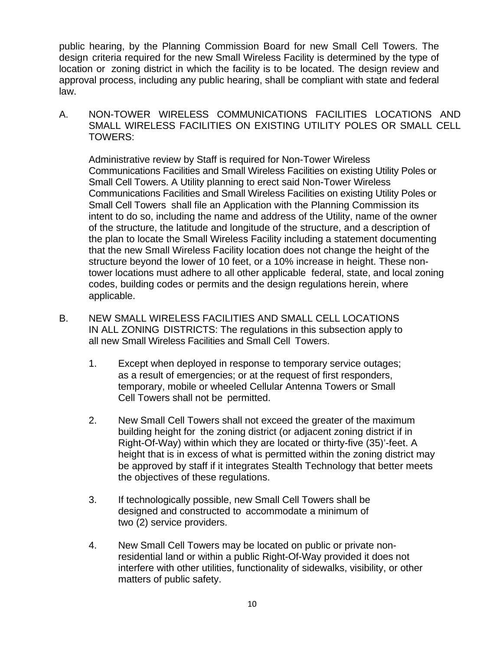public hearing, by the Planning Commission Board for new Small Cell Towers. The design criteria required for the new Small Wireless Facility is determined by the type of location or zoning district in which the facility is to be located. The design review and approval process, including any public hearing, shall be compliant with state and federal law.

A. NON-TOWER WIRELESS COMMUNICATIONS FACILITIES LOCATIONS AND SMALL WIRELESS FACILITIES ON EXISTING UTILITY POLES OR SMALL CELL TOWERS:

Administrative review by Staff is required for Non-Tower Wireless Communications Facilities and Small Wireless Facilities on existing Utility Poles or Small Cell Towers. A Utility planning to erect said Non-Tower Wireless Communications Facilities and Small Wireless Facilities on existing Utility Poles or Small Cell Towers shall file an Application with the Planning Commission its intent to do so, including the name and address of the Utility, name of the owner of the structure, the latitude and longitude of the structure, and a description of the plan to locate the Small Wireless Facility including a statement documenting that the new Small Wireless Facility location does not change the height of the structure beyond the lower of 10 feet, or a 10% increase in height. These nontower locations must adhere to all other applicable federal, state, and local zoning codes, building codes or permits and the design regulations herein, where applicable.

- B. NEW SMALL WIRELESS FACILITIES AND SMALL CELL LOCATIONS IN ALL ZONING DISTRICTS: The regulations in this subsection apply to all new Small Wireless Facilities and Small Cell Towers.
	- 1. Except when deployed in response to temporary service outages; as a result of emergencies; or at the request of first responders, temporary, mobile or wheeled Cellular Antenna Towers or Small Cell Towers shall not be permitted.
	- 2. New Small Cell Towers shall not exceed the greater of the maximum building height for the zoning district (or adjacent zoning district if in Right-Of-Way) within which they are located or thirty-five (35)'-feet. A height that is in excess of what is permitted within the zoning district may be approved by staff if it integrates Stealth Technology that better meets the objectives of these regulations.
	- 3. If technologically possible, new Small Cell Towers shall be designed and constructed to accommodate a minimum of two (2) service providers.
	- 4. New Small Cell Towers may be located on public or private nonresidential land or within a public Right-Of-Way provided it does not interfere with other utilities, functionality of sidewalks, visibility, or other matters of public safety.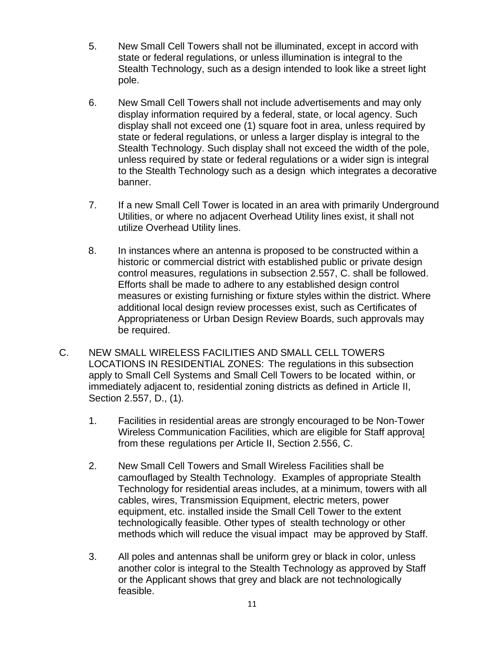- 5. New Small Cell Towers shall not be illuminated, except in accord with state or federal regulations, or unless illumination is integral to the Stealth Technology, such as a design intended to look like a street light pole.
- 6. New Small Cell Towers shall not include advertisements and may only display information required by a federal, state, or local agency. Such display shall not exceed one (1) square foot in area, unless required by state or federal regulations, or unless a larger display is integral to the Stealth Technology. Such display shall not exceed the width of the pole, unless required by state or federal regulations or a wider sign is integral to the Stealth Technology such as a design which integrates a decorative banner.
- 7. If a new Small Cell Tower is located in an area with primarily Underground Utilities, or where no adjacent Overhead Utility lines exist, it shall not utilize Overhead Utility lines.
- 8. In instances where an antenna is proposed to be constructed within a historic or commercial district with established public or private design control measures, regulations in subsection 2.557, C. shall be followed. Efforts shall be made to adhere to any established design control measures or existing furnishing or fixture styles within the district. Where additional local design review processes exist, such as Certificates of Appropriateness or Urban Design Review Boards, such approvals may be required.
- C. NEW SMALL WIRELESS FACILITIES AND SMALL CELL TOWERS LOCATIONS IN RESIDENTIAL ZONES: The regulations in this subsection apply to Small Cell Systems and Small Cell Towers to be located within, or immediately adjacent to, residential zoning districts as defined in Article II, Section 2.557, D., (1).
	- 1. Facilities in residential areas are strongly encouraged to be Non-Tower Wireless Communication Facilities, which are eligible for Staff approval from these regulations per Article II, Section 2.556, C.
	- 2. New Small Cell Towers and Small Wireless Facilities shall be camouflaged by Stealth Technology. Examples of appropriate Stealth Technology for residential areas includes, at a minimum, towers with all cables, wires, Transmission Equipment, electric meters, power equipment, etc. installed inside the Small Cell Tower to the extent technologically feasible. Other types of stealth technology or other methods which will reduce the visual impact may be approved by Staff.
	- 3. All poles and antennas shall be uniform grey or black in color, unless another color is integral to the Stealth Technology as approved by Staff or the Applicant shows that grey and black are not technologically feasible.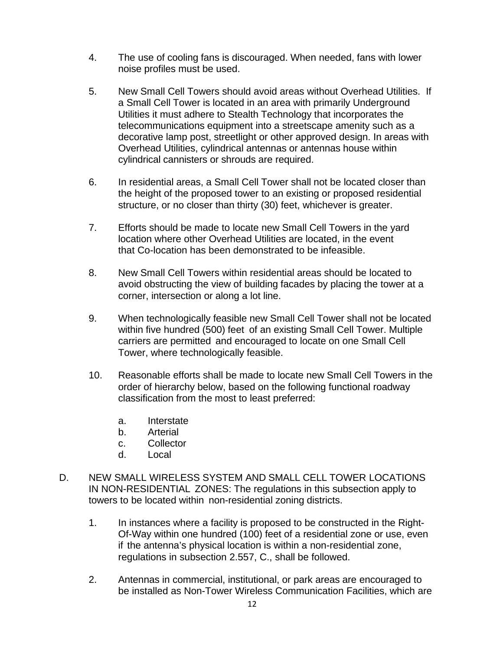- 4. The use of cooling fans is discouraged. When needed, fans with lower noise profiles must be used.
- 5. New Small Cell Towers should avoid areas without Overhead Utilities. If a Small Cell Tower is located in an area with primarily Underground Utilities it must adhere to Stealth Technology that incorporates the telecommunications equipment into a streetscape amenity such as a decorative lamp post, streetlight or other approved design. In areas with Overhead Utilities, cylindrical antennas or antennas house within cylindrical cannisters or shrouds are required.
- 6. In residential areas, a Small Cell Tower shall not be located closer than the height of the proposed tower to an existing or proposed residential structure, or no closer than thirty (30) feet, whichever is greater.
- 7. Efforts should be made to locate new Small Cell Towers in the yard location where other Overhead Utilities are located, in the event that Co-location has been demonstrated to be infeasible.
- 8. New Small Cell Towers within residential areas should be located to avoid obstructing the view of building facades by placing the tower at a corner, intersection or along a lot line.
- 9. When technologically feasible new Small Cell Tower shall not be located within five hundred (500) feet of an existing Small Cell Tower. Multiple carriers are permitted and encouraged to locate on one Small Cell Tower, where technologically feasible.
- 10. Reasonable efforts shall be made to locate new Small Cell Towers in the order of hierarchy below, based on the following functional roadway classification from the most to least preferred:
	- a. Interstate
	- b. Arterial
	- c. Collector
	- d. Local
- D. NEW SMALL WIRELESS SYSTEM AND SMALL CELL TOWER LOCATIONS IN NON-RESIDENTIAL ZONES: The regulations in this subsection apply to towers to be located within non-residential zoning districts.
	- 1. In instances where a facility is proposed to be constructed in the Right-Of-Way within one hundred (100) feet of a residential zone or use, even if the antenna's physical location is within a non-residential zone, regulations in subsection 2.557, C., shall be followed.
	- 2. Antennas in commercial, institutional, or park areas are encouraged to be installed as Non-Tower Wireless Communication Facilities, which are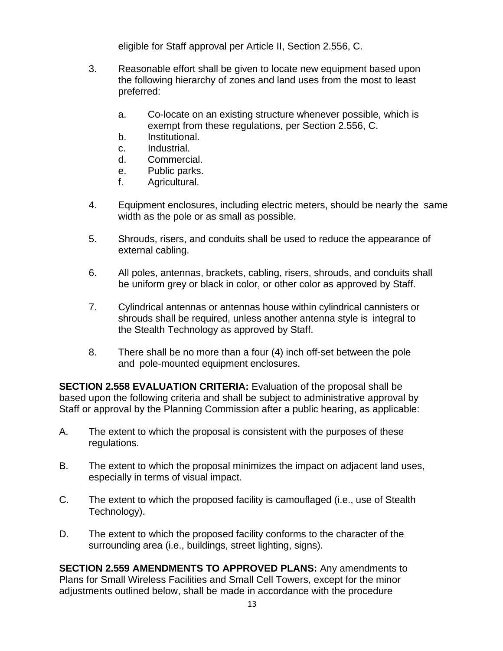eligible for Staff approval per Article II, Section 2.556, C.

- 3. Reasonable effort shall be given to locate new equipment based upon the following hierarchy of zones and land uses from the most to least preferred:
	- a. Co-locate on an existing structure whenever possible, which is exempt from these regulations, per Section 2.556, C.
	- b. Institutional.
	- c. Industrial.
	- d. Commercial.
	- e. Public parks.
	- f. Agricultural.
- 4. Equipment enclosures, including electric meters, should be nearly the same width as the pole or as small as possible.
- 5. Shrouds, risers, and conduits shall be used to reduce the appearance of external cabling.
- 6. All poles, antennas, brackets, cabling, risers, shrouds, and conduits shall be uniform grey or black in color, or other color as approved by Staff.
- 7. Cylindrical antennas or antennas house within cylindrical cannisters or shrouds shall be required, unless another antenna style is integral to the Stealth Technology as approved by Staff.
- 8. There shall be no more than a four (4) inch off-set between the pole and pole-mounted equipment enclosures.

**SECTION 2.558 EVALUATION CRITERIA:** Evaluation of the proposal shall be based upon the following criteria and shall be subject to administrative approval by Staff or approval by the Planning Commission after a public hearing, as applicable:

- A. The extent to which the proposal is consistent with the purposes of these regulations.
- B. The extent to which the proposal minimizes the impact on adjacent land uses, especially in terms of visual impact.
- C. The extent to which the proposed facility is camouflaged (i.e., use of Stealth Technology).
- D. The extent to which the proposed facility conforms to the character of the surrounding area (i.e., buildings, street lighting, signs).

**SECTION 2.559 AMENDMENTS TO APPROVED PLANS:** Any amendments to Plans for Small Wireless Facilities and Small Cell Towers, except for the minor adjustments outlined below, shall be made in accordance with the procedure